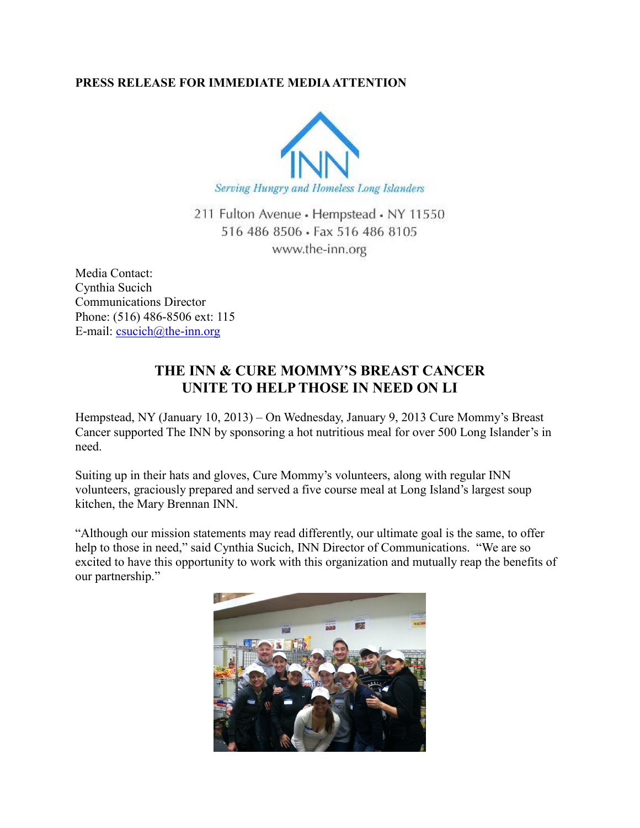## **PRESS RELEASE FOR IMMEDIATE MEDIA ATTENTION**



211 Fulton Avenue · Hempstead · NY 11550 516 486 8506 · Fax 516 486 8105 www.the-inn.org

Media Contact: Cynthia Sucich Communications Director Phone: (516) 486-8506 ext: 115 E-mail:  $\text{csuch}(a)$ the-inn.org

## **THE INN & CURE MOMMY'S BREAST CANCER UNITE TO HELP THOSE IN NEED ON LI**

Hempstead, NY (January 10, 2013) – On Wednesday, January 9, 2013 Cure Mommy's Breast Cancer supported The INN by sponsoring a hot nutritious meal for over 500 Long Islander's in need.

Suiting up in their hats and gloves, Cure Mommy's volunteers, along with regular INN volunteers, graciously prepared and served a five course meal at Long Island's largest soup kitchen, the Mary Brennan INN.

"Although our mission statements may read differently, our ultimate goal is the same, to offer help to those in need," said Cynthia Sucich, INN Director of Communications. "We are so excited to have this opportunity to work with this organization and mutually reap the benefits of our partnership."